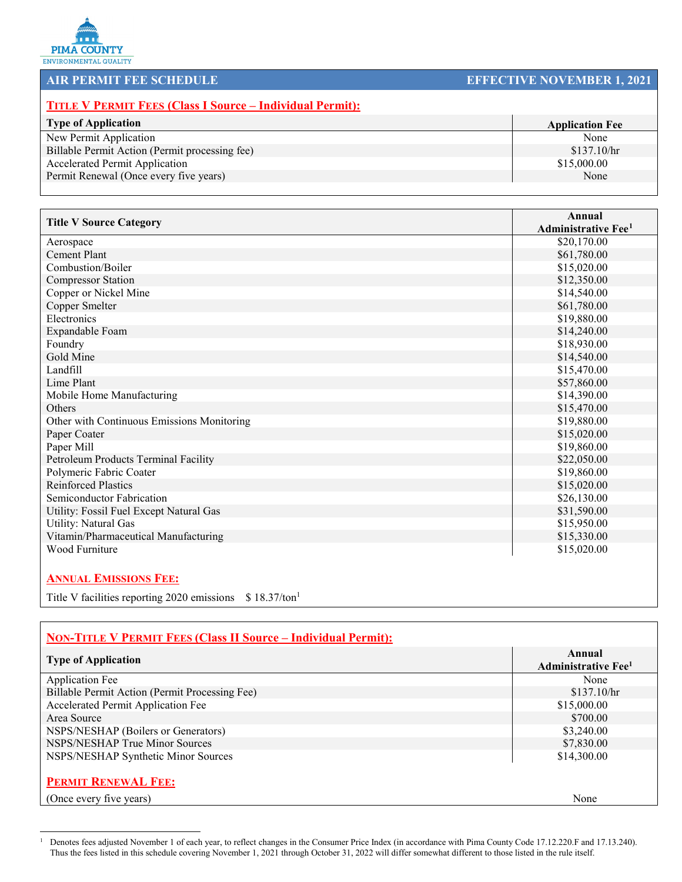

## **AIR PERMIT FEE SCHEDULE EFFECTIVE NOVEMBER 1, 2021**

## **TITLE V PERMIT FEES (Class I Source – Individual Permit):**

| <b>Type of Application</b>                     | <b>Application Fee</b> |
|------------------------------------------------|------------------------|
| New Permit Application                         | None                   |
| Billable Permit Action (Permit processing fee) | \$137.10/hr            |
| <b>Accelerated Permit Application</b>          | \$15,000.00            |
| Permit Renewal (Once every five years)         | None                   |
|                                                |                        |

| <b>Title V Source Category</b>             | <b>Annual</b>              |
|--------------------------------------------|----------------------------|
|                                            | <b>Administrative Fee1</b> |
| Aerospace                                  | \$20,170.00                |
| <b>Cement Plant</b>                        | \$61,780.00                |
| Combustion/Boiler                          | \$15,020.00                |
| <b>Compressor Station</b>                  | \$12,350.00                |
| Copper or Nickel Mine                      | \$14,540.00                |
| Copper Smelter                             | \$61,780.00                |
| Electronics                                | \$19,880.00                |
| Expandable Foam                            | \$14,240.00                |
| Foundry                                    | \$18,930.00                |
| Gold Mine                                  | \$14,540.00                |
| Landfill                                   | \$15,470.00                |
| Lime Plant                                 | \$57,860.00                |
| Mobile Home Manufacturing                  | \$14,390.00                |
| Others                                     | \$15,470.00                |
| Other with Continuous Emissions Monitoring | \$19,880.00                |
| Paper Coater                               | \$15,020.00                |
| Paper Mill                                 | \$19,860.00                |
| Petroleum Products Terminal Facility       | \$22,050.00                |
| Polymeric Fabric Coater                    | \$19,860.00                |
| <b>Reinforced Plastics</b>                 | \$15,020.00                |
| Semiconductor Fabrication                  | \$26,130.00                |
| Utility: Fossil Fuel Except Natural Gas    | \$31,590.00                |
| Utility: Natural Gas                       | \$15,950.00                |
| Vitamin/Pharmaceutical Manufacturing       | \$15,330.00                |
| Wood Furniture                             | \$15,020.00                |
|                                            |                            |
|                                            |                            |

## **ANNUAL EMISSIONS FEE:**

Title V facilities reporting 2020 emissions \$18.37/ton<sup>1</sup>

| <b>NON-TITLE V PERMIT FEES (Class II Source – Individual Permit):</b> |                                                  |
|-----------------------------------------------------------------------|--------------------------------------------------|
| <b>Type of Application</b>                                            | Annual<br><b>Administrative Fee</b> <sup>1</sup> |
| <b>Application Fee</b>                                                | None                                             |
| Billable Permit Action (Permit Processing Fee)                        | \$137.10/hr                                      |
| Accelerated Permit Application Fee                                    | \$15,000.00                                      |
| Area Source                                                           | \$700.00                                         |
| NSPS/NESHAP (Boilers or Generators)                                   | \$3,240.00                                       |
| NSPS/NESHAP True Minor Sources                                        | \$7,830.00                                       |
| NSPS/NESHAP Synthetic Minor Sources                                   | \$14,300.00                                      |
| <b>PERMIT RENEWAL FEE:</b>                                            |                                                  |
| (Once every five years)                                               | None                                             |

<span id="page-0-0"></span><sup>1</sup> Denotes fees adjusted November 1 of each year, to reflect changes in the Consumer Price Index (in accordance with Pima County Code 17.12.220.F and 17.13.240). Thus the fees listed in this schedule covering November 1, 2021 through October 31, 2022 will differ somewhat different to those listed in the rule itself.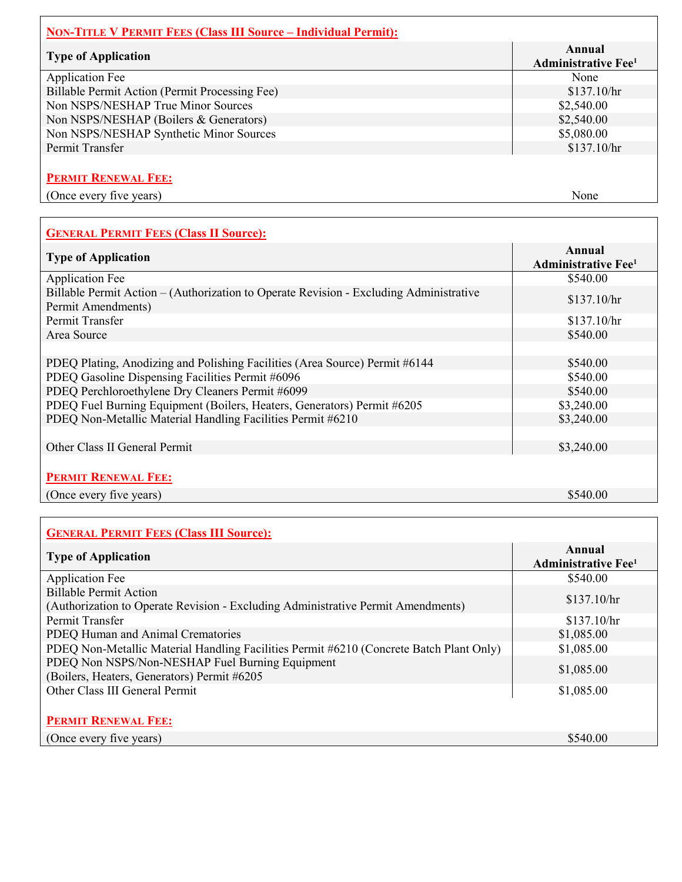| <b>NON-TITLE V PERMIT FEES (Class III Source – Individual Permit):</b> |                                                  |
|------------------------------------------------------------------------|--------------------------------------------------|
| <b>Type of Application</b>                                             | Annual<br><b>Administrative Fee</b> <sup>1</sup> |
| <b>Application Fee</b>                                                 | None                                             |
| Billable Permit Action (Permit Processing Fee)                         | \$137.10/hr                                      |
| Non NSPS/NESHAP True Minor Sources                                     | \$2,540.00                                       |
| Non NSPS/NESHAP (Boilers & Generators)                                 | \$2,540.00                                       |
| Non NSPS/NESHAP Synthetic Minor Sources                                | \$5,080.00                                       |
| Permit Transfer                                                        | \$137.10/hr                                      |
| <b>PERMIT RENEWAL FEE:</b>                                             |                                                  |
| (Once every five years)                                                | None                                             |

| <b>GENERAL PERMIT FEES (Class II Source):</b>                                                                |                                                  |
|--------------------------------------------------------------------------------------------------------------|--------------------------------------------------|
| <b>Type of Application</b>                                                                                   | Annual<br><b>Administrative Fee</b> <sup>1</sup> |
| <b>Application Fee</b>                                                                                       | \$540.00                                         |
| Billable Permit Action – (Authorization to Operate Revision - Excluding Administrative<br>Permit Amendments) | \$137.10/hr                                      |
| Permit Transfer                                                                                              | \$137.10/hr                                      |
| Area Source                                                                                                  | \$540.00                                         |
|                                                                                                              |                                                  |
| PDEQ Plating, Anodizing and Polishing Facilities (Area Source) Permit #6144                                  | \$540.00                                         |
| PDEQ Gasoline Dispensing Facilities Permit #6096                                                             | \$540.00                                         |
| PDEQ Perchloroethylene Dry Cleaners Permit #6099                                                             | \$540.00                                         |
| PDEQ Fuel Burning Equipment (Boilers, Heaters, Generators) Permit #6205                                      | \$3,240.00                                       |
| PDEQ Non-Metallic Material Handling Facilities Permit #6210                                                  | \$3,240.00                                       |
|                                                                                                              |                                                  |
| Other Class II General Permit                                                                                | \$3,240.00                                       |
|                                                                                                              |                                                  |
| <b>PERMIT RENEWAL FEE:</b>                                                                                   |                                                  |
| (Once every five years)                                                                                      | \$540.00                                         |

| <b>GENERAL PERMIT FEES (Class III Source):</b>                                                             |                                                  |
|------------------------------------------------------------------------------------------------------------|--------------------------------------------------|
| <b>Type of Application</b>                                                                                 | Annual<br><b>Administrative Fee</b> <sup>1</sup> |
| <b>Application Fee</b>                                                                                     | \$540.00                                         |
| Billable Permit Action<br>(Authorization to Operate Revision - Excluding Administrative Permit Amendments) | \$137.10/hr                                      |
| Permit Transfer                                                                                            | \$137.10/hr                                      |
| PDEQ Human and Animal Crematories                                                                          | \$1,085.00                                       |
| PDEQ Non-Metallic Material Handling Facilities Permit #6210 (Concrete Batch Plant Only)                    | \$1,085.00                                       |
| PDEQ Non NSPS/Non-NESHAP Fuel Burning Equipment<br>(Boilers, Heaters, Generators) Permit #6205             | \$1,085.00                                       |
| Other Class III General Permit                                                                             | \$1,085.00                                       |
| <b>PERMIT RENEWAL FEE:</b>                                                                                 |                                                  |
| (Once every five years)                                                                                    | \$540.00                                         |

 $\Gamma$